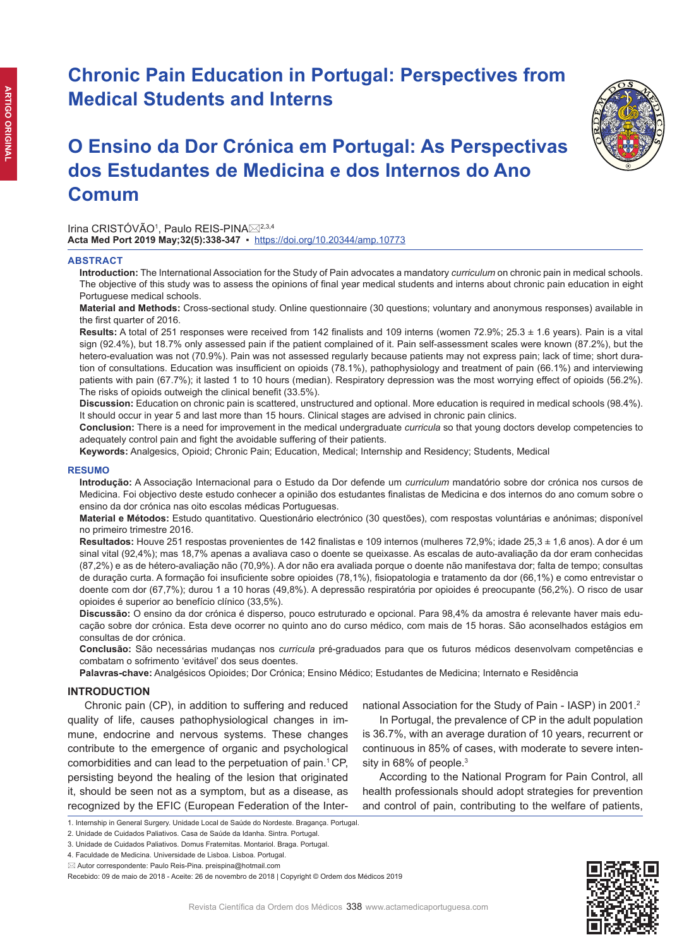# **Chronic Pain Education in Portugal: Perspectives from Medical Students and Interns**



# **O Ensino da Dor Crónica em Portugal: As Perspectivas dos Estudantes de Medicina e dos Internos do Ano Comum**

Irina CRISTÓVÃO<sup>1</sup>, Paulo REIS-PINA⊠<sup>2,3,4</sup> **Acta Med Port 2019 May;32(5):338-347** ▪https://doi.org/10.20344/amp.10773

## **ABSTRACT**

**Introduction:** The International Association for the Study of Pain advocates a mandatory *curriculum* on chronic pain in medical schools. The objective of this study was to assess the opinions of final year medical students and interns about chronic pain education in eight Portuguese medical schools.

**Material and Methods:** Cross-sectional study. Online questionnaire (30 questions; voluntary and anonymous responses) available in the first quarter of 2016.

**Results:** A total of 251 responses were received from 142 finalists and 109 interns (women 72.9%; 25.3 **±** 1.6 years). Pain is a vital sign (92.4%), but 18.7% only assessed pain if the patient complained of it. Pain self-assessment scales were known (87.2%), but the hetero-evaluation was not (70.9%). Pain was not assessed regularly because patients may not express pain; lack of time; short duration of consultations. Education was insufficient on opioids (78.1%), pathophysiology and treatment of pain (66.1%) and interviewing patients with pain (67.7%); it lasted 1 to 10 hours (median). Respiratory depression was the most worrying effect of opioids (56.2%). The risks of opioids outweigh the clinical benefit (33.5%).

**Discussion:** Education on chronic pain is scattered, unstructured and optional. More education is required in medical schools (98.4%). It should occur in year 5 and last more than 15 hours. Clinical stages are advised in chronic pain clinics.

**Conclusion:** There is a need for improvement in the medical undergraduate *curricula* so that young doctors develop competencies to adequately control pain and fight the avoidable suffering of their patients.

**Keywords:** Analgesics, Opioid; Chronic Pain; Education, Medical; Internship and Residency; Students, Medical

#### **RESUMO**

**Introdução:** A Associação Internacional para o Estudo da Dor defende um *curriculum* mandatório sobre dor crónica nos cursos de Medicina. Foi objectivo deste estudo conhecer a opinião dos estudantes finalistas de Medicina e dos internos do ano comum sobre o ensino da dor crónica nas oito escolas médicas Portuguesas.

**Material e Métodos:** Estudo quantitativo. Questionário electrónico (30 questões), com respostas voluntárias e anónimas; disponível no primeiro trimestre 2016.

**Resultados:** Houve 251 respostas provenientes de 142 finalistas e 109 internos (mulheres 72,9%; idade 25,3 **±** 1,6 anos). A dor é um sinal vital (92,4%); mas 18,7% apenas a avaliava caso o doente se queixasse. As escalas de auto-avaliação da dor eram conhecidas (87,2%) e as de hétero-avaliação não (70,9%). A dor não era avaliada porque o doente não manifestava dor; falta de tempo; consultas de duração curta. A formação foi insuficiente sobre opioides (78,1%), fisiopatologia e tratamento da dor (66,1%) e como entrevistar o doente com dor (67,7%); durou 1 a 10 horas (49,8%). A depressão respiratória por opioides é preocupante (56,2%). O risco de usar opioides é superior ao benefício clínico (33,5%).

**Discussão:** O ensino da dor crónica é disperso, pouco estruturado e opcional. Para 98,4% da amostra é relevante haver mais educação sobre dor crónica. Esta deve ocorrer no quinto ano do curso médico, com mais de 15 horas. São aconselhados estágios em consultas de dor crónica.

**Conclusão:** São necessárias mudanças nos *curricula* pré-graduados para que os futuros médicos desenvolvam competências e combatam o sofrimento 'evitável' dos seus doentes.

**Palavras-chave:** Analgésicos Opioides; Dor Crónica; Ensino Médico; Estudantes de Medicina; Internato e Residência

## **INTRODUCTION**

Chronic pain (CP), in addition to suffering and reduced quality of life, causes pathophysiological changes in immune, endocrine and nervous systems. These changes contribute to the emergence of organic and psychological comorbidities and can lead to the perpetuation of pain.<sup>1</sup> CP, persisting beyond the healing of the lesion that originated it, should be seen not as a symptom, but as a disease, as recognized by the EFIC (European Federation of the International Association for the Study of Pain - IASP) in 2001.2

In Portugal, the prevalence of CP in the adult population is 36.7%, with an average duration of 10 years, recurrent or continuous in 85% of cases, with moderate to severe intensity in 68% of people.<sup>3</sup>

According to the National Program for Pain Control, all health professionals should adopt strategies for prevention and control of pain, contributing to the welfare of patients,



<sup>1.</sup> Internship in General Surgery. Unidade Local de Saúde do Nordeste. Bragança. Portugal.

<sup>2.</sup> Unidade de Cuidados Paliativos. Casa de Saúde da Idanha. Sintra. Portugal.

<sup>3.</sup> Unidade de Cuidados Paliativos. Domus Fraternitas. Montariol. Braga. Portugal.

<sup>4.</sup> Faculdade de Medicina. Universidade de Lisboa. Lisboa. Portugal.

Autor correspondente: Paulo Reis-Pina. preispina@hotmail.com

Recebido: 09 de maio de 2018 - Aceite: 26 de novembro de 2018 | Copyright © Ordem dos Médicos 2019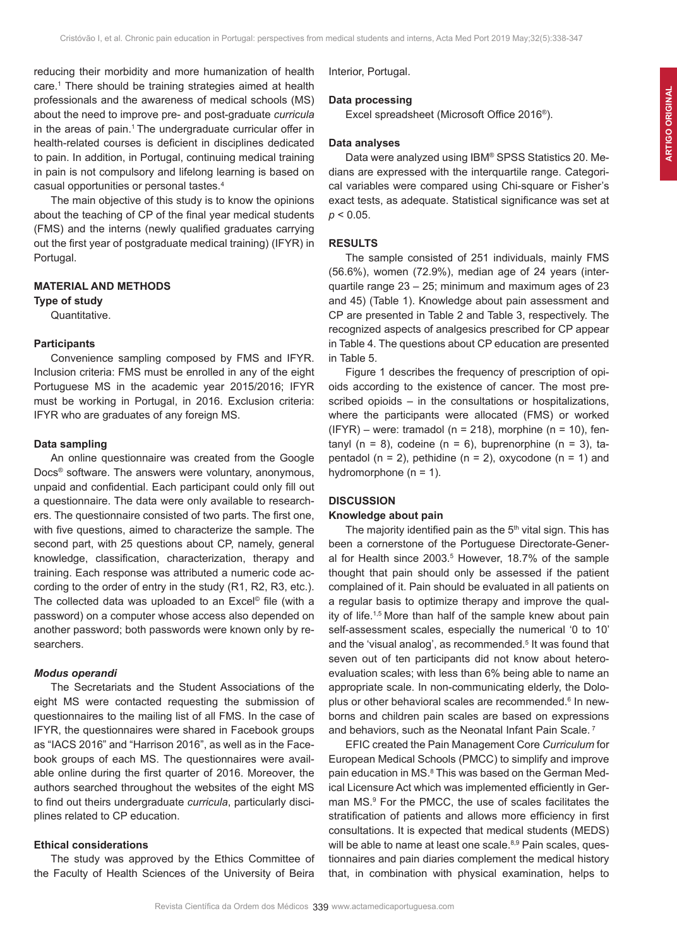reducing their morbidity and more humanization of health care.1 There should be training strategies aimed at health professionals and the awareness of medical schools (MS) about the need to improve pre- and post-graduate *curricula*  in the areas of pain.<sup>1</sup> The undergraduate curricular offer in health-related courses is deficient in disciplines dedicated to pain. In addition, in Portugal, continuing medical training in pain is not compulsory and lifelong learning is based on casual opportunities or personal tastes.4

The main objective of this study is to know the opinions about the teaching of CP of the final year medical students (FMS) and the interns (newly qualified graduates carrying out the first year of postgraduate medical training) (IFYR) in Portugal.

# **MATERIAL AND METHODS**

**Type of study**

Quantitative.

## **Participants**

Convenience sampling composed by FMS and IFYR. Inclusion criteria: FMS must be enrolled in any of the eight Portuguese MS in the academic year 2015/2016; IFYR must be working in Portugal, in 2016. Exclusion criteria: IFYR who are graduates of any foreign MS.

#### **Data sampling**

An online questionnaire was created from the Google Docs® software. The answers were voluntary, anonymous, unpaid and confidential. Each participant could only fill out a questionnaire. The data were only available to researchers. The questionnaire consisted of two parts. The first one, with five questions, aimed to characterize the sample. The second part, with 25 questions about CP, namely, general knowledge, classification, characterization, therapy and training. Each response was attributed a numeric code according to the order of entry in the study (R1, R2, R3, etc.). The collected data was uploaded to an Excel<sup>®</sup> file (with a password) on a computer whose access also depended on another password; both passwords were known only by researchers.

## *Modus operandi*

The Secretariats and the Student Associations of the eight MS were contacted requesting the submission of questionnaires to the mailing list of all FMS. In the case of IFYR, the questionnaires were shared in Facebook groups as "IACS 2016" and "Harrison 2016", as well as in the Facebook groups of each MS. The questionnaires were available online during the first quarter of 2016. Moreover, the authors searched throughout the websites of the eight MS to find out theirs undergraduate *curricula*, particularly disciplines related to CP education.

## **Ethical considerations**

The study was approved by the Ethics Committee of the Faculty of Health Sciences of the University of Beira Interior, Portugal.

### **Data processing**

Excel spreadsheet (Microsoft Office 2016®).

# **Data analyses**

Data were analyzed using IBM® SPSS Statistics 20. Medians are expressed with the interquartile range. Categorical variables were compared using Chi-square or Fisher's exact tests, as adequate. Statistical significance was set at  $p < 0.05$ .

## **RESULTS**

The sample consisted of 251 individuals, mainly FMS (56.6%), women (72.9%), median age of 24 years (interquartile range 23 – 25; minimum and maximum ages of 23 and 45) (Table 1). Knowledge about pain assessment and CP are presented in Table 2 and Table 3, respectively. The recognized aspects of analgesics prescribed for CP appear in Table 4. The questions about CP education are presented in Table 5.

Figure 1 describes the frequency of prescription of opioids according to the existence of cancer. The most prescribed opioids – in the consultations or hospitalizations, where the participants were allocated (FMS) or worked  $(IFYR)$  – were: tramadol (n = 218), morphine (n = 10), fentanyl (n = 8), codeine (n = 6), buprenorphine (n = 3), tapentadol (n = 2), pethidine (n = 2), oxycodone (n = 1) and hydromorphone  $(n = 1)$ .

## **DISCUSSION**

# **Knowledge about pain**

The majority identified pain as the  $5<sup>th</sup>$  vital sign. This has been a cornerstone of the Portuguese Directorate-General for Health since 2003.<sup>5</sup> However, 18.7% of the sample thought that pain should only be assessed if the patient complained of it. Pain should be evaluated in all patients on a regular basis to optimize therapy and improve the quality of life.<sup>1,5</sup> More than half of the sample knew about pain self-assessment scales, especially the numerical '0 to 10' and the 'visual analog', as recommended.<sup>5</sup> It was found that seven out of ten participants did not know about heteroevaluation scales; with less than 6% being able to name an appropriate scale. In non-communicating elderly, the Doloplus or other behavioral scales are recommended.<sup>6</sup> In newborns and children pain scales are based on expressions and behaviors, such as the Neonatal Infant Pain Scale. 7

EFIC created the Pain Management Core *Curriculum* for European Medical Schools (PMCC) to simplify and improve pain education in MS.<sup>8</sup> This was based on the German Medical Licensure Act which was implemented efficiently in German MS.9 For the PMCC, the use of scales facilitates the stratification of patients and allows more efficiency in first consultations. It is expected that medical students (MEDS) will be able to name at least one scale.<sup>8,9</sup> Pain scales, questionnaires and pain diaries complement the medical history that, in combination with physical examination, helps to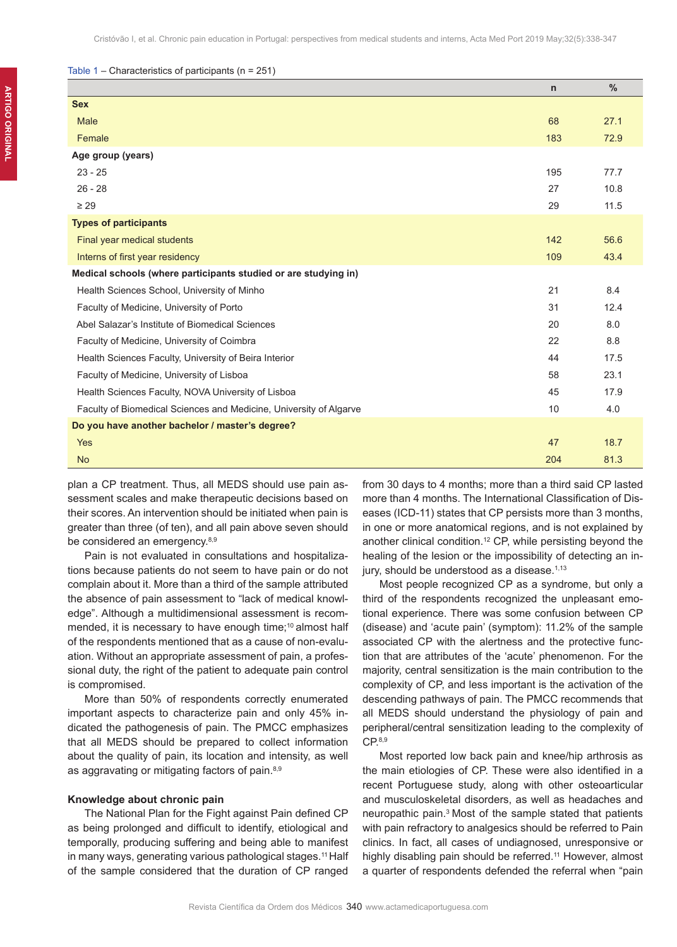#### Table 1 – Characteristics of participants (n = 251)

|                                                                    | $\mathsf{n}$ | $\frac{0}{0}$ |
|--------------------------------------------------------------------|--------------|---------------|
| <b>Sex</b>                                                         |              |               |
| Male                                                               | 68           | 27.1          |
| Female                                                             | 183          | 72.9          |
| Age group (years)                                                  |              |               |
| $23 - 25$                                                          | 195          | 77.7          |
| $26 - 28$                                                          | 27           | 10.8          |
| $\geq 29$                                                          | 29           | 11.5          |
| <b>Types of participants</b>                                       |              |               |
| Final year medical students                                        | 142          | 56.6          |
| Interns of first year residency                                    | 109          | 43.4          |
| Medical schools (where participants studied or are studying in)    |              |               |
| Health Sciences School, University of Minho                        | 21           | 8.4           |
| Faculty of Medicine, University of Porto                           | 31           | 12.4          |
| Abel Salazar's Institute of Biomedical Sciences                    | 20           | 8.0           |
| Faculty of Medicine, University of Coimbra                         | 22           | 8.8           |
| Health Sciences Faculty, University of Beira Interior              | 44           | 17.5          |
| Faculty of Medicine, University of Lisboa                          | 58           | 23.1          |
| Health Sciences Faculty, NOVA University of Lisboa                 | 45           | 17.9          |
| Faculty of Biomedical Sciences and Medicine, University of Algarve | 10           | 4.0           |
| Do you have another bachelor / master's degree?                    |              |               |
| Yes                                                                | 47           | 18.7          |
| <b>No</b>                                                          | 204          | 81.3          |

plan a CP treatment. Thus, all MEDS should use pain assessment scales and make therapeutic decisions based on their scores. An intervention should be initiated when pain is greater than three (of ten), and all pain above seven should be considered an emergency.<sup>8,9</sup>

Pain is not evaluated in consultations and hospitalizations because patients do not seem to have pain or do not complain about it. More than a third of the sample attributed the absence of pain assessment to "lack of medical knowledge". Although a multidimensional assessment is recommended, it is necessary to have enough time;<sup>10</sup> almost half of the respondents mentioned that as a cause of non-evaluation. Without an appropriate assessment of pain, a professional duty, the right of the patient to adequate pain control is compromised.

More than 50% of respondents correctly enumerated important aspects to characterize pain and only 45% indicated the pathogenesis of pain. The PMCC emphasizes that all MEDS should be prepared to collect information about the quality of pain, its location and intensity, as well as aggravating or mitigating factors of pain.<sup>8,9</sup>

## **Knowledge about chronic pain**

The National Plan for the Fight against Pain defined CP as being prolonged and difficult to identify, etiological and temporally, producing suffering and being able to manifest in many ways, generating various pathological stages.<sup>11</sup> Half of the sample considered that the duration of CP ranged

from 30 days to 4 months; more than a third said CP lasted more than 4 months. The International Classification of Diseases (ICD-11) states that CP persists more than 3 months, in one or more anatomical regions, and is not explained by another clinical condition.12 CP, while persisting beyond the healing of the lesion or the impossibility of detecting an injury, should be understood as a disease. $1,13$ 

Most people recognized CP as a syndrome, but only a third of the respondents recognized the unpleasant emotional experience. There was some confusion between CP (disease) and 'acute pain' (symptom): 11.2% of the sample associated CP with the alertness and the protective function that are attributes of the 'acute' phenomenon. For the majority, central sensitization is the main contribution to the complexity of CP, and less important is the activation of the descending pathways of pain. The PMCC recommends that all MEDS should understand the physiology of pain and peripheral/central sensitization leading to the complexity of CP.8,9

Most reported low back pain and knee/hip arthrosis as the main etiologies of CP. These were also identified in a recent Portuguese study, along with other osteoarticular and musculoskeletal disorders, as well as headaches and neuropathic pain.<sup>3</sup>Most of the sample stated that patients with pain refractory to analgesics should be referred to Pain clinics. In fact, all cases of undiagnosed, unresponsive or highly disabling pain should be referred.<sup>11</sup> However, almost a quarter of respondents defended the referral when "pain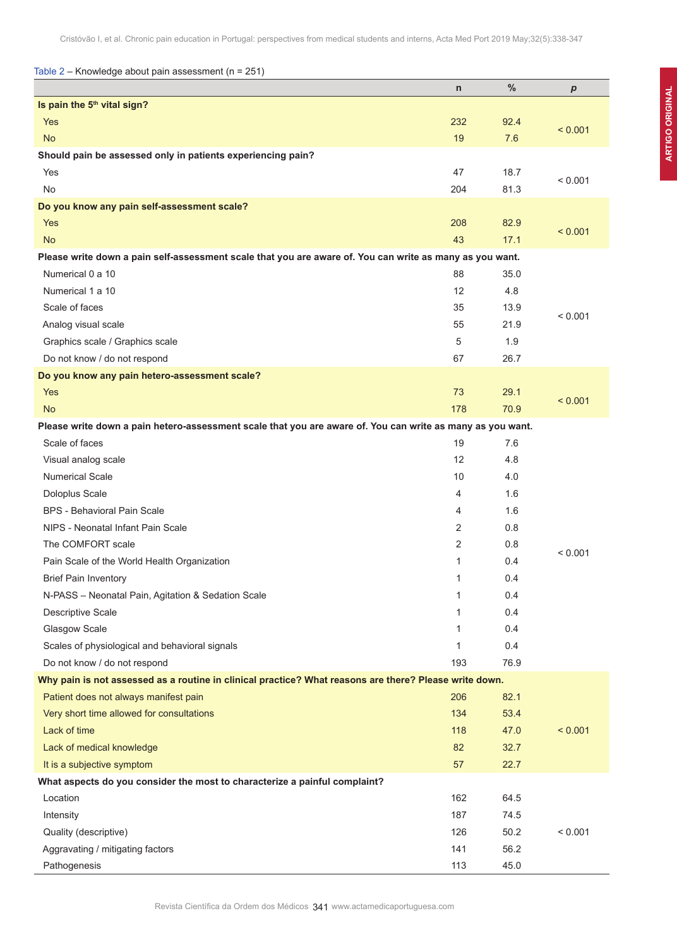Table 2 – Knowledge about pain assessment (n = 251)

|                                                                                                            | n                 | $\%$ | $\boldsymbol{p}$ |
|------------------------------------------------------------------------------------------------------------|-------------------|------|------------------|
| Is pain the 5 <sup>th</sup> vital sign?                                                                    |                   |      |                  |
| Yes                                                                                                        | 232               | 92.4 |                  |
| <b>No</b>                                                                                                  | 19                | 7.6  | < 0.001          |
| Should pain be assessed only in patients experiencing pain?                                                |                   |      |                  |
| Yes                                                                                                        | 47                | 18.7 |                  |
| No                                                                                                         | 204               | 81.3 | < 0.001          |
| Do you know any pain self-assessment scale?                                                                |                   |      |                  |
| Yes                                                                                                        | 208               | 82.9 |                  |
| <b>No</b>                                                                                                  | 43                | 17.1 | < 0.001          |
| Please write down a pain self-assessment scale that you are aware of. You can write as many as you want.   |                   |      |                  |
| Numerical 0 a 10                                                                                           | 88                | 35.0 |                  |
| Numerical 1 a 10                                                                                           | $12 \overline{ }$ | 4.8  |                  |
| Scale of faces                                                                                             | 35                | 13.9 |                  |
| Analog visual scale                                                                                        | 55                | 21.9 | < 0.001          |
| Graphics scale / Graphics scale                                                                            | 5                 | 1.9  |                  |
| Do not know / do not respond                                                                               | 67                | 26.7 |                  |
| Do you know any pain hetero-assessment scale?                                                              |                   |      |                  |
| Yes                                                                                                        | 73                | 29.1 |                  |
| <b>No</b>                                                                                                  | 178               | 70.9 | < 0.001          |
| Please write down a pain hetero-assessment scale that you are aware of. You can write as many as you want. |                   |      |                  |
| Scale of faces                                                                                             | 19                | 7.6  |                  |
| Visual analog scale                                                                                        | 12 <sup>2</sup>   | 4.8  |                  |
| <b>Numerical Scale</b>                                                                                     | 10                | 4.0  |                  |
| Doloplus Scale                                                                                             | 4                 | 1.6  |                  |
| <b>BPS - Behavioral Pain Scale</b>                                                                         | 4                 | 1.6  |                  |
| NIPS - Neonatal Infant Pain Scale                                                                          | 2                 | 0.8  |                  |
| The COMFORT scale                                                                                          | 2                 | 0.8  |                  |
| Pain Scale of the World Health Organization                                                                | 1                 | 0.4  | < 0.001          |
| <b>Brief Pain Inventory</b>                                                                                | 1                 | 0.4  |                  |
| N-PASS - Neonatal Pain, Agitation & Sedation Scale                                                         | 1                 | 0.4  |                  |
| Descriptive Scale                                                                                          | 1                 | 0.4  |                  |
| Glasgow Scale                                                                                              | 1                 | 0.4  |                  |
| Scales of physiological and behavioral signals                                                             | 1                 | 0.4  |                  |
| Do not know / do not respond                                                                               | 193               | 76.9 |                  |
| Why pain is not assessed as a routine in clinical practice? What reasons are there? Please write down.     |                   |      |                  |
| Patient does not always manifest pain                                                                      | 206               | 82.1 |                  |
| Very short time allowed for consultations                                                                  | 134               | 53.4 |                  |
| Lack of time                                                                                               | 118               | 47.0 | < 0.001          |
| Lack of medical knowledge                                                                                  | 82                | 32.7 |                  |
| It is a subjective symptom                                                                                 | 57                | 22.7 |                  |
| What aspects do you consider the most to characterize a painful complaint?                                 |                   |      |                  |
| Location                                                                                                   | 162               | 64.5 |                  |
| Intensity                                                                                                  | 187               | 74.5 |                  |
| Quality (descriptive)                                                                                      | 126               | 50.2 | < 0.001          |
| Aggravating / mitigating factors                                                                           | 141               | 56.2 |                  |
| Pathogenesis                                                                                               | 113               | 45.0 |                  |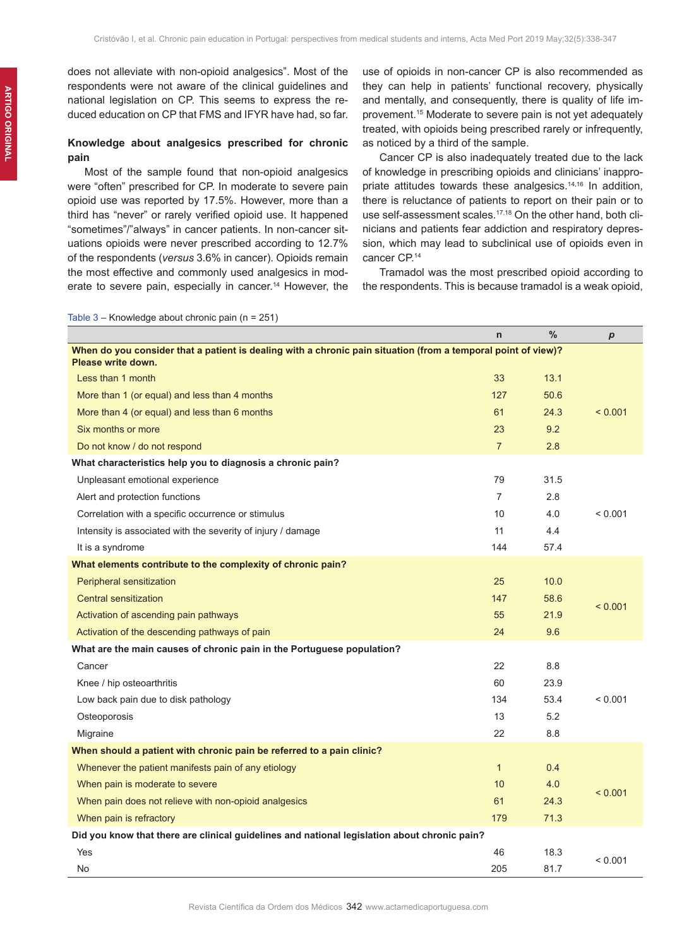does not alleviate with non-opioid analgesics". Most of the respondents were not aware of the clinical guidelines and national legislation on CP. This seems to express the reduced education on CP that FMS and IFYR have had, so far.

# **Knowledge about analgesics prescribed for chronic pain**

Most of the sample found that non-opioid analgesics were "often" prescribed for CP. In moderate to severe pain opioid use was reported by 17.5%. However, more than a third has "never" or rarely verified opioid use. It happened "sometimes"/"always" in cancer patients. In non-cancer situations opioids were never prescribed according to 12.7% of the respondents (*versus* 3.6% in cancer). Opioids remain the most effective and commonly used analgesics in moderate to severe pain, especially in cancer.<sup>14</sup> However, the

use of opioids in non-cancer CP is also recommended as they can help in patients' functional recovery, physically and mentally, and consequently, there is quality of life improvement.15 Moderate to severe pain is not yet adequately treated, with opioids being prescribed rarely or infrequently, as noticed by a third of the sample.

Cancer CP is also inadequately treated due to the lack of knowledge in prescribing opioids and clinicians' inappropriate attitudes towards these analgesics.14,16 In addition, there is reluctance of patients to report on their pain or to use self-assessment scales.17,18 On the other hand, both clinicians and patients fear addiction and respiratory depression, which may lead to subclinical use of opioids even in cancer CP.14

Tramadol was the most prescribed opioid according to the respondents. This is because tramadol is a weak opioid,

#### Table 3 – Knowledge about chronic pain (n = 251)

|                                                                                                                                     | $\mathsf{n}$   | $\%$ | p       |
|-------------------------------------------------------------------------------------------------------------------------------------|----------------|------|---------|
| When do you consider that a patient is dealing with a chronic pain situation (from a temporal point of view)?<br>Please write down. |                |      |         |
| Less than 1 month                                                                                                                   | 33             | 13.1 |         |
| More than 1 (or equal) and less than 4 months                                                                                       | 127            | 50.6 |         |
| More than 4 (or equal) and less than 6 months                                                                                       | 61             | 24.3 | < 0.001 |
| Six months or more                                                                                                                  | 23             | 9.2  |         |
| Do not know / do not respond                                                                                                        | $\overline{7}$ | 2.8  |         |
| What characteristics help you to diagnosis a chronic pain?                                                                          |                |      |         |
| Unpleasant emotional experience                                                                                                     | 79             | 31.5 |         |
| Alert and protection functions                                                                                                      | $\overline{7}$ | 2.8  |         |
| Correlation with a specific occurrence or stimulus                                                                                  | 10             | 4.0  | < 0.001 |
| Intensity is associated with the severity of injury / damage                                                                        | 11             | 4.4  |         |
| It is a syndrome                                                                                                                    | 144            | 57.4 |         |
| What elements contribute to the complexity of chronic pain?                                                                         |                |      |         |
| Peripheral sensitization                                                                                                            | 25             | 10.0 |         |
| <b>Central sensitization</b>                                                                                                        | 147            | 58.6 |         |
| Activation of ascending pain pathways                                                                                               | 55             | 21.9 | < 0.001 |
| Activation of the descending pathways of pain                                                                                       | 24             | 9.6  |         |
| What are the main causes of chronic pain in the Portuguese population?                                                              |                |      |         |
| Cancer                                                                                                                              | 22             | 8.8  |         |
| Knee / hip osteoarthritis                                                                                                           | 60             | 23.9 |         |
| Low back pain due to disk pathology                                                                                                 | 134            | 53.4 | < 0.001 |
| Osteoporosis                                                                                                                        | 13             | 5.2  |         |
| Migraine                                                                                                                            | 22             | 8.8  |         |
| When should a patient with chronic pain be referred to a pain clinic?                                                               |                |      |         |
| Whenever the patient manifests pain of any etiology                                                                                 | $\mathbf{1}$   | 0.4  |         |
| When pain is moderate to severe                                                                                                     | 10             | 4.0  | < 0.001 |
| When pain does not relieve with non-opioid analgesics                                                                               | 61             | 24.3 |         |
| When pain is refractory                                                                                                             | 179            | 71.3 |         |
| Did you know that there are clinical guidelines and national legislation about chronic pain?                                        |                |      |         |
| Yes                                                                                                                                 | 46             | 18.3 | < 0.001 |
| No                                                                                                                                  | 205            | 81.7 |         |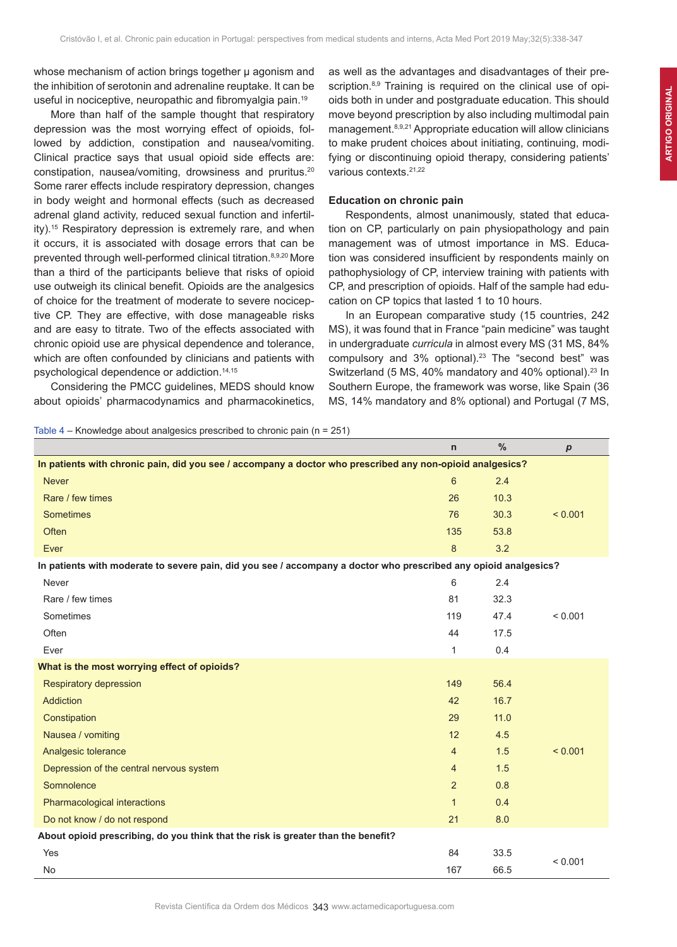whose mechanism of action brings together μ agonism and the inhibition of serotonin and adrenaline reuptake. It can be useful in nociceptive, neuropathic and fibromvalgia pain.<sup>19</sup>

More than half of the sample thought that respiratory depression was the most worrying effect of opioids, followed by addiction, constipation and nausea/vomiting. Clinical practice says that usual opioid side effects are: constipation, nausea/vomiting, drowsiness and pruritus.<sup>20</sup> Some rarer effects include respiratory depression, changes in body weight and hormonal effects (such as decreased adrenal gland activity, reduced sexual function and infertility).15 Respiratory depression is extremely rare, and when it occurs, it is associated with dosage errors that can be prevented through well-performed clinical titration.8,9,20 More than a third of the participants believe that risks of opioid use outweigh its clinical benefit. Opioids are the analgesics of choice for the treatment of moderate to severe nociceptive CP. They are effective, with dose manageable risks and are easy to titrate. Two of the effects associated with chronic opioid use are physical dependence and tolerance, which are often confounded by clinicians and patients with psychological dependence or addiction.14,15

Considering the PMCC guidelines, MEDS should know about opioids' pharmacodynamics and pharmacokinetics,

as well as the advantages and disadvantages of their prescription.<sup>8,9</sup> Training is required on the clinical use of opioids both in under and postgraduate education. This should move beyond prescription by also including multimodal pain management.<sup>8,9,21</sup> Appropriate education will allow clinicians to make prudent choices about initiating, continuing, modifying or discontinuing opioid therapy, considering patients' various contexts.21,22

# **Education on chronic pain**

Respondents, almost unanimously, stated that education on CP, particularly on pain physiopathology and pain management was of utmost importance in MS. Education was considered insufficient by respondents mainly on pathophysiology of CP, interview training with patients with CP, and prescription of opioids. Half of the sample had education on CP topics that lasted 1 to 10 hours.

In an European comparative study (15 countries, 242 MS), it was found that in France "pain medicine" was taught in undergraduate *curricula* in almost every MS (31 MS, 84% compulsory and 3% optional).<sup>23</sup> The "second best" was Switzerland (5 MS, 40% mandatory and 40% optional).<sup>23</sup> In Southern Europe, the framework was worse, like Spain (36 MS, 14% mandatory and 8% optional) and Portugal (7 MS,

Table 4 – Knowledge about analgesics prescribed to chronic pain (n = 251)

|                                                                                                                  | $\mathsf{n}$   | $\frac{0}{0}$ | $\boldsymbol{p}$ |
|------------------------------------------------------------------------------------------------------------------|----------------|---------------|------------------|
| In patients with chronic pain, did you see / accompany a doctor who prescribed any non-opioid analgesics?        |                |               |                  |
| <b>Never</b>                                                                                                     | 6              | 2.4           |                  |
| Rare / few times                                                                                                 | 26             | 10.3          |                  |
| <b>Sometimes</b>                                                                                                 | 76             | 30.3          | < 0.001          |
| <b>Often</b>                                                                                                     | 135            | 53.8          |                  |
| Ever                                                                                                             | 8              | 3.2           |                  |
| In patients with moderate to severe pain, did you see / accompany a doctor who prescribed any opioid analgesics? |                |               |                  |
| Never                                                                                                            | 6              | 2.4           |                  |
| Rare / few times                                                                                                 | 81             | 32.3          |                  |
| Sometimes                                                                                                        | 119            | 47.4          | < 0.001          |
| Often                                                                                                            | 44             | 17.5          |                  |
| Ever                                                                                                             | $\mathbf{1}$   | 0.4           |                  |
| What is the most worrying effect of opioids?                                                                     |                |               |                  |
| <b>Respiratory depression</b>                                                                                    | 149            | 56.4          |                  |
| <b>Addiction</b>                                                                                                 | 42             | 16.7          |                  |
| Constipation                                                                                                     | 29             | 11.0          |                  |
| Nausea / vomiting                                                                                                | 12             | 4.5           |                  |
| Analgesic tolerance                                                                                              | $\overline{4}$ | 1.5           | < 0.001          |
| Depression of the central nervous system                                                                         | $\overline{4}$ | 1.5           |                  |
| Somnolence                                                                                                       | 2              | 0.8           |                  |
| Pharmacological interactions                                                                                     | $\mathbf{1}$   | 0.4           |                  |
| Do not know / do not respond                                                                                     | 21             | 8.0           |                  |
| About opioid prescribing, do you think that the risk is greater than the benefit?                                |                |               |                  |
| Yes                                                                                                              | 84             | 33.5          |                  |
| <b>No</b>                                                                                                        | 167            | 66.5          | < 0.001          |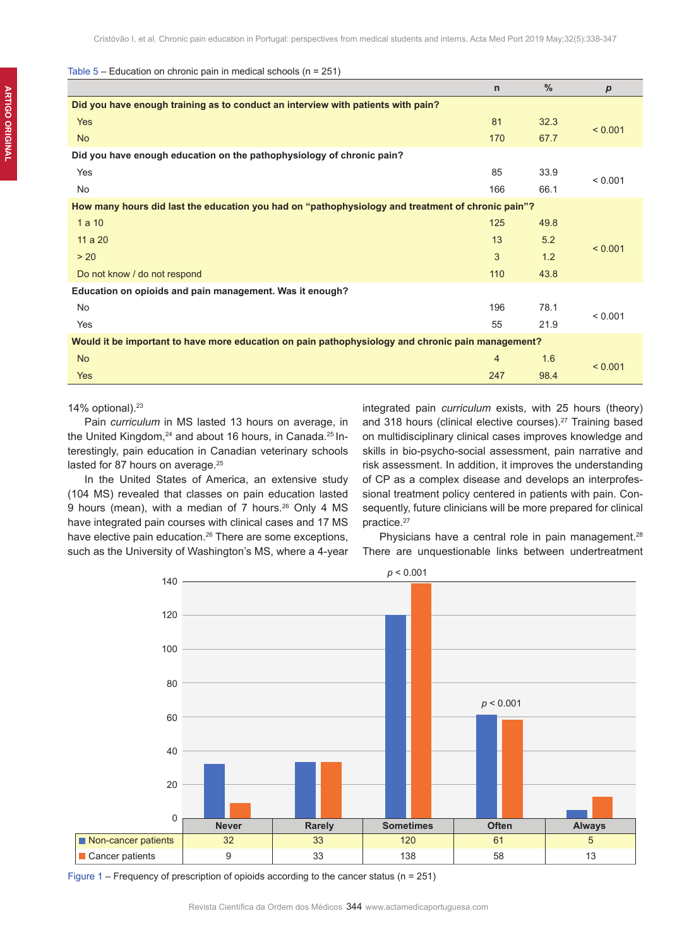#### Table 5 – Education on chronic pain in medical schools (n = 251)

|                                                                                                   | $\mathsf{n}$   | $\%$ | $\boldsymbol{p}$ |
|---------------------------------------------------------------------------------------------------|----------------|------|------------------|
| Did you have enough training as to conduct an interview with patients with pain?                  |                |      |                  |
| <b>Yes</b>                                                                                        | 81             | 32.3 |                  |
| <b>No</b>                                                                                         | 170            | 67.7 | < 0.001          |
| Did you have enough education on the pathophysiology of chronic pain?                             |                |      |                  |
| Yes                                                                                               | 85             | 33.9 | < 0.001          |
| No                                                                                                | 166            | 66.1 |                  |
| How many hours did last the education you had on "pathophysiology and treatment of chronic pain"? |                |      |                  |
| 1 a 10                                                                                            | 125            | 49.8 |                  |
| 11a20                                                                                             | 13             | 5.2  | < 0.001          |
| > 20                                                                                              | 3              | 1.2  |                  |
| Do not know / do not respond                                                                      | 110            | 43.8 |                  |
| Education on opioids and pain management. Was it enough?                                          |                |      |                  |
| No                                                                                                | 196            | 78.1 |                  |
| Yes                                                                                               | 55             | 21.9 | < 0.001          |
| Would it be important to have more education on pain pathophysiology and chronic pain management? |                |      |                  |
| <b>No</b>                                                                                         | $\overline{4}$ | 1.6  | < 0.001          |
| <b>Yes</b>                                                                                        | 247            | 98.4 |                  |

## 14% optional).<sup>23</sup>

Pain *curriculum* in MS lasted 13 hours on average, in the United Kingdom,<sup>24</sup> and about 16 hours, in Canada.<sup>25</sup> Interestingly, pain education in Canadian veterinary schools lasted for 87 hours on average.<sup>25</sup>

In the United States of America, an extensive study (104 MS) revealed that classes on pain education lasted 9 hours (mean), with a median of 7 hours.<sup>26</sup> Only 4 MS have integrated pain courses with clinical cases and 17 MS have elective pain education.<sup>26</sup> There are some exceptions, such as the University of Washington's MS, where a 4-year

integrated pain *curriculum* exists, with 25 hours (theory) and 318 hours (clinical elective courses).<sup>27</sup> Training based on multidisciplinary clinical cases improves knowledge and skills in bio-psycho-social assessment, pain narrative and risk assessment. In addition, it improves the understanding of CP as a complex disease and develops an interprofessional treatment policy centered in patients with pain. Consequently, future clinicians will be more prepared for clinical practice.<sup>27</sup>

Physicians have a central role in pain management.<sup>28</sup> There are unquestionable links between undertreatment



Figure  $1$  – Frequency of prescription of opioids according to the cancer status (n = 251)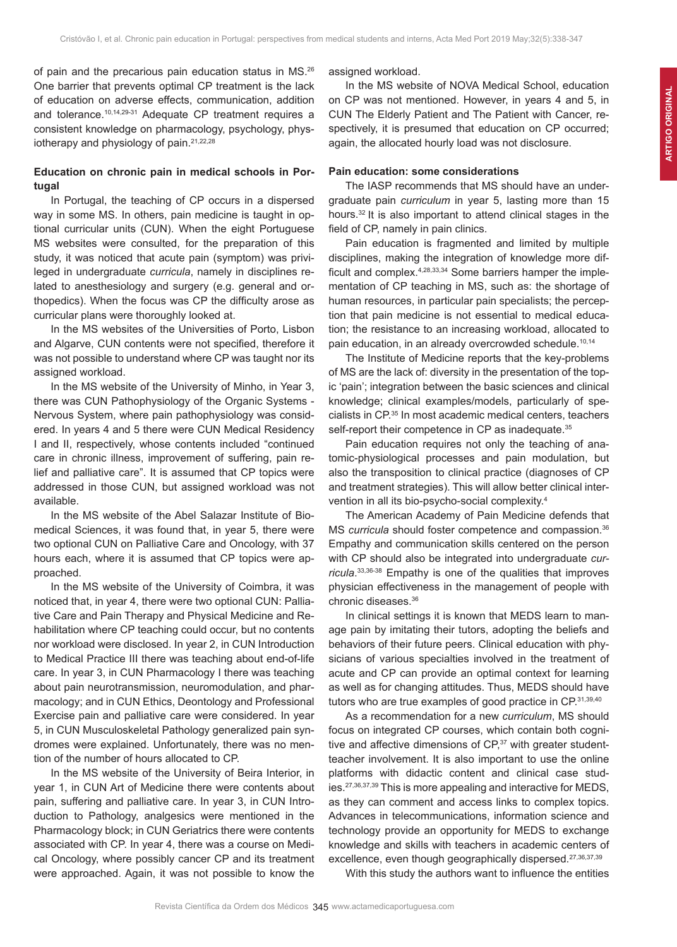of pain and the precarious pain education status in MS.26 One barrier that prevents optimal CP treatment is the lack of education on adverse effects, communication, addition and tolerance.10,14,29-31 Adequate CP treatment requires a consistent knowledge on pharmacology, psychology, physiotherapy and physiology of pain.<sup>21,22,28</sup>

# **Education on chronic pain in medical schools in Portugal**

In Portugal, the teaching of CP occurs in a dispersed way in some MS. In others, pain medicine is taught in optional curricular units (CUN). When the eight Portuguese MS websites were consulted, for the preparation of this study, it was noticed that acute pain (symptom) was privileged in undergraduate *curricula*, namely in disciplines related to anesthesiology and surgery (e.g. general and orthopedics). When the focus was CP the difficulty arose as curricular plans were thoroughly looked at.

In the MS websites of the Universities of Porto, Lisbon and Algarve, CUN contents were not specified, therefore it was not possible to understand where CP was taught nor its assigned workload.

In the MS website of the University of Minho, in Year 3, there was CUN Pathophysiology of the Organic Systems - Nervous System, where pain pathophysiology was considered. In years 4 and 5 there were CUN Medical Residency I and II, respectively, whose contents included "continued care in chronic illness, improvement of suffering, pain relief and palliative care". It is assumed that CP topics were addressed in those CUN, but assigned workload was not available.

In the MS website of the Abel Salazar Institute of Biomedical Sciences, it was found that, in year 5, there were two optional CUN on Palliative Care and Oncology, with 37 hours each, where it is assumed that CP topics were approached.

In the MS website of the University of Coimbra, it was noticed that, in year 4, there were two optional CUN: Palliative Care and Pain Therapy and Physical Medicine and Rehabilitation where CP teaching could occur, but no contents nor workload were disclosed. In year 2, in CUN Introduction to Medical Practice III there was teaching about end-of-life care. In year 3, in CUN Pharmacology I there was teaching about pain neurotransmission, neuromodulation, and pharmacology; and in CUN Ethics, Deontology and Professional Exercise pain and palliative care were considered. In year 5, in CUN Musculoskeletal Pathology generalized pain syndromes were explained. Unfortunately, there was no mention of the number of hours allocated to CP.

In the MS website of the University of Beira Interior, in year 1, in CUN Art of Medicine there were contents about pain, suffering and palliative care. In year 3, in CUN Introduction to Pathology, analgesics were mentioned in the Pharmacology block; in CUN Geriatrics there were contents associated with CP. In year 4, there was a course on Medical Oncology, where possibly cancer CP and its treatment were approached. Again, it was not possible to know the assigned workload.

In the MS website of NOVA Medical School, education on CP was not mentioned. However, in years 4 and 5, in CUN The Elderly Patient and The Patient with Cancer, respectively, it is presumed that education on CP occurred; again, the allocated hourly load was not disclosure.

## **Pain education: some considerations**

The IASP recommends that MS should have an undergraduate pain *curriculum* in year 5, lasting more than 15 hours.32 It is also important to attend clinical stages in the field of CP, namely in pain clinics.

Pain education is fragmented and limited by multiple disciplines, making the integration of knowledge more difficult and complex.4,28,33,34 Some barriers hamper the implementation of CP teaching in MS, such as: the shortage of human resources, in particular pain specialists; the perception that pain medicine is not essential to medical education; the resistance to an increasing workload, allocated to pain education, in an already overcrowded schedule.<sup>10,14</sup>

The Institute of Medicine reports that the key-problems of MS are the lack of: diversity in the presentation of the topic 'pain'; integration between the basic sciences and clinical knowledge; clinical examples/models, particularly of specialists in CP.35 In most academic medical centers, teachers self-report their competence in CP as inadequate.<sup>35</sup>

Pain education requires not only the teaching of anatomic-physiological processes and pain modulation, but also the transposition to clinical practice (diagnoses of CP and treatment strategies). This will allow better clinical intervention in all its bio-psycho-social complexity.4

The American Academy of Pain Medicine defends that MS *curricula* should foster competence and compassion.<sup>36</sup> Empathy and communication skills centered on the person with CP should also be integrated into undergraduate *curricula*. 33,36-38 Empathy is one of the qualities that improves physician effectiveness in the management of people with chronic diseases.36

In clinical settings it is known that MEDS learn to manage pain by imitating their tutors, adopting the beliefs and behaviors of their future peers. Clinical education with physicians of various specialties involved in the treatment of acute and CP can provide an optimal context for learning as well as for changing attitudes. Thus, MEDS should have tutors who are true examples of good practice in CP.31,39,40

As a recommendation for a new *curriculum*, MS should focus on integrated CP courses, which contain both cognitive and affective dimensions of CP,<sup>37</sup> with greater studentteacher involvement. It is also important to use the online platforms with didactic content and clinical case studies.27,36,37,39 This is more appealing and interactive for MEDS, as they can comment and access links to complex topics. Advances in telecommunications, information science and technology provide an opportunity for MEDS to exchange knowledge and skills with teachers in academic centers of excellence, even though geographically dispersed.27,36,37,39

With this study the authors want to influence the entities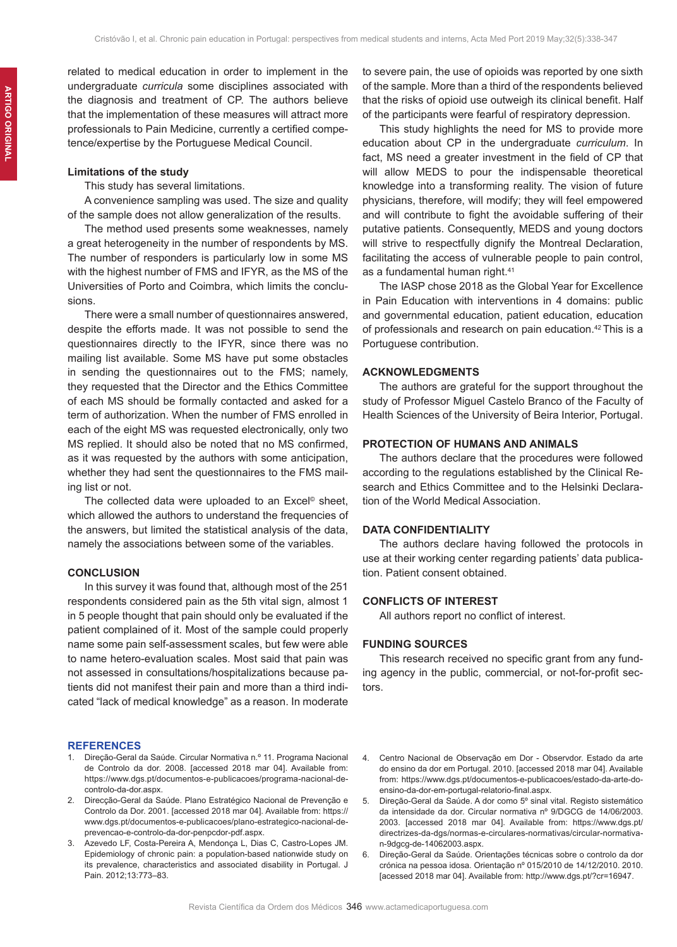related to medical education in order to implement in the undergraduate *curricula* some disciplines associated with the diagnosis and treatment of CP. The authors believe that the implementation of these measures will attract more professionals to Pain Medicine, currently a certified competence/expertise by the Portuguese Medical Council.

### **Limitations of the study**

This study has several limitations.

A convenience sampling was used. The size and quality of the sample does not allow generalization of the results.

The method used presents some weaknesses, namely a great heterogeneity in the number of respondents by MS. The number of responders is particularly low in some MS with the highest number of FMS and IFYR, as the MS of the Universities of Porto and Coimbra, which limits the conclusions.

There were a small number of questionnaires answered, despite the efforts made. It was not possible to send the questionnaires directly to the IFYR, since there was no mailing list available. Some MS have put some obstacles in sending the questionnaires out to the FMS; namely, they requested that the Director and the Ethics Committee of each MS should be formally contacted and asked for a term of authorization. When the number of FMS enrolled in each of the eight MS was requested electronically, only two MS replied. It should also be noted that no MS confirmed, as it was requested by the authors with some anticipation, whether they had sent the questionnaires to the FMS mailing list or not.

The collected data were uploaded to an Excel<sup>®</sup> sheet, which allowed the authors to understand the frequencies of the answers, but limited the statistical analysis of the data, namely the associations between some of the variables.

# **CONCLUSION**

In this survey it was found that, although most of the 251 respondents considered pain as the 5th vital sign, almost 1 in 5 people thought that pain should only be evaluated if the patient complained of it. Most of the sample could properly name some pain self-assessment scales, but few were able to name hetero-evaluation scales. Most said that pain was not assessed in consultations/hospitalizations because patients did not manifest their pain and more than a third indicated "lack of medical knowledge" as a reason. In moderate

## **REFERENCES**

- Direção-Geral da Saúde. Circular Normativa n.º 11. Programa Nacional de Controlo da dor. 2008. [accessed 2018 mar 04]. Available from: https://www.dgs.pt/documentos-e-publicacoes/programa-nacional-decontrolo-da-dor.aspx.
- 2. Direcção-Geral da Saúde. Plano Estratégico Nacional de Prevenção e Controlo da Dor. 2001. [accessed 2018 mar 04]. Available from: https:// www.dgs.pt/documentos-e-publicacoes/plano-estrategico-nacional-deprevencao-e-controlo-da-dor-penpcdor-pdf.aspx.
- 3. Azevedo LF, Costa-Pereira A, Mendonça L, Dias C, Castro-Lopes JM. Epidemiology of chronic pain: a population-based nationwide study on its prevalence, characteristics and associated disability in Portugal. J Pain. 2012;13:773–83.

to severe pain, the use of opioids was reported by one sixth of the sample. More than a third of the respondents believed that the risks of opioid use outweigh its clinical benefit. Half of the participants were fearful of respiratory depression.

This study highlights the need for MS to provide more education about CP in the undergraduate *curriculum*. In fact, MS need a greater investment in the field of CP that will allow MEDS to pour the indispensable theoretical knowledge into a transforming reality. The vision of future physicians, therefore, will modify; they will feel empowered and will contribute to fight the avoidable suffering of their putative patients. Consequently, MEDS and young doctors will strive to respectfully dignify the Montreal Declaration. facilitating the access of vulnerable people to pain control, as a fundamental human right.<sup>41</sup>

The IASP chose 2018 as the Global Year for Excellence in Pain Education with interventions in 4 domains: public and governmental education, patient education, education of professionals and research on pain education.<sup>42</sup> This is a Portuguese contribution.

### **ACKNOWLEDGMENTS**

The authors are grateful for the support throughout the study of Professor Miguel Castelo Branco of the Faculty of Health Sciences of the University of Beira Interior, Portugal.

## **PROTECTION OF HUMANS AND ANIMALS**

The authors declare that the procedures were followed according to the regulations established by the Clinical Research and Ethics Committee and to the Helsinki Declaration of the World Medical Association.

## **DATA CONFIDENTIALITY**

The authors declare having followed the protocols in use at their working center regarding patients' data publication. Patient consent obtained.

## **CONFLICTS OF INTEREST**

All authors report no conflict of interest.

## **FUNDING SOURCES**

This research received no specific grant from any funding agency in the public, commercial, or not-for-profit sectors.

- 4. Centro Nacional de Observação em Dor Observdor. Estado da arte do ensino da dor em Portugal. 2010. [accessed 2018 mar 04]. Available from: https://www.dgs.pt/documentos-e-publicacoes/estado-da-arte-doensino-da-dor-em-portugal-relatorio-final.aspx.
- 5. Direção-Geral da Saúde. A dor como 5º sinal vital. Registo sistemático da intensidade da dor. Circular normativa nº 9/DGCG de 14/06/2003. 2003. [accessed 2018 mar 04]. Available from: https://www.dgs.pt/ directrizes-da-dgs/normas-e-circulares-normativas/circular-normativan-9dgcg-de-14062003.aspx.
- 6. Direção-Geral da Saúde. Orientações técnicas sobre o controlo da dor crónica na pessoa idosa. Orientação nº 015/2010 de 14/12/2010. 2010. [acessed 2018 mar 04]. Available from: http://www.dgs.pt/?cr=16947.